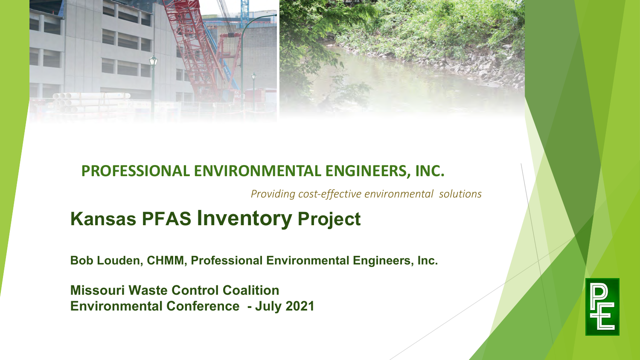

#### **PROFESSIONAL ENVIRONMENTAL ENGINEERS, INC.**

*Providing cost-effective environmental solutions*

#### **Kansas PFAS Inventory Project**

**Bob Louden, CHMM, Professional Environmental Engineers, Inc.**

**Missouri Waste Control Coalition Environmental Conference - July 2021**

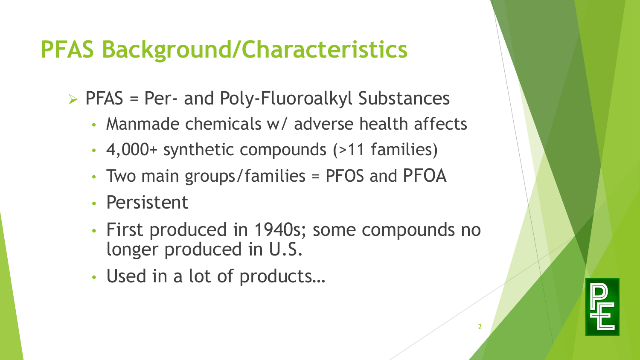#### **PFAS Background/Characteristics**

- $\triangleright$  PFAS = Per- and Poly-Fluoroalkyl Substances
	- Manmade chemicals w/ adverse health affects
	- 4,000+ synthetic compounds (>11 families)
	- Two main groups/families = PFOS and PFOA
	- Persistent
	- First produced in 1940s; some compounds no longer produced in U.S.
	- Used in a lot of products…

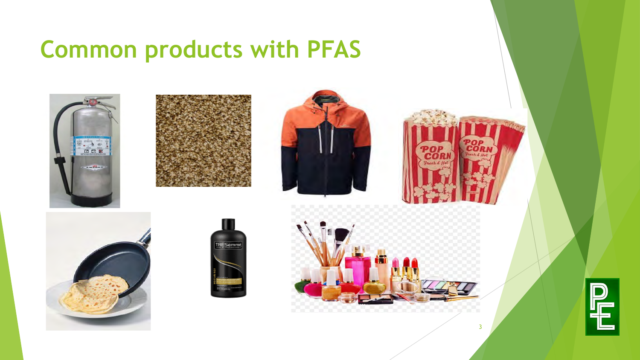#### **Common products with PFAS**















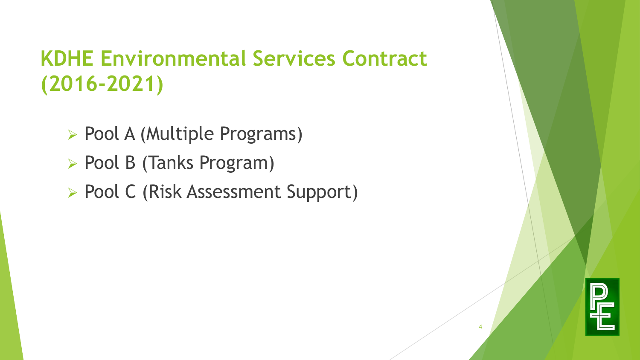#### **KDHE Environmental Services Contract (2016-2021)**

- Ø Pool A (Multiple Programs)
- ▶ Pool B (Tanks Program)
- Ø Pool C (Risk Assessment Support)

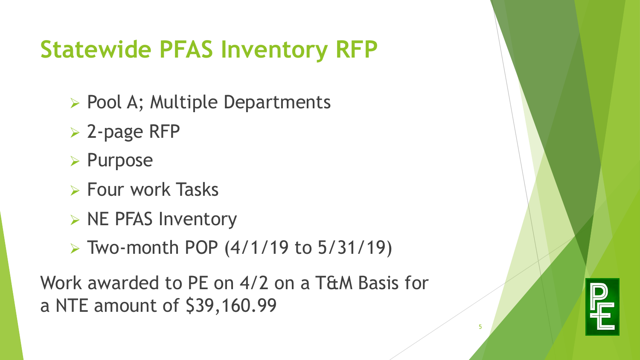# **Statewide PFAS Inventory RFP**

- ▶ Pool A; Multiple Departments
- $\triangleright$  2-page RFP
- Ø Purpose
- $\triangleright$  Four work Tasks
- $\triangleright$  NE PFAS Inventory
- $\triangleright$  Two-month POP (4/1/19 to 5/31/19)

Work awarded to PE on 4/2 on a T&M Basis for a NTE amount of \$39,160.99

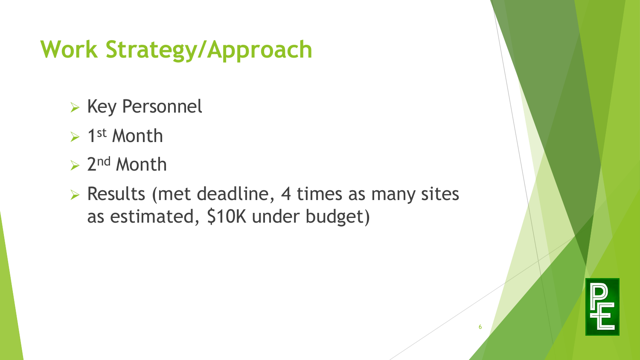## **Work Strategy/Approach**

- $\triangleright$  Key Personnel
- $> 1$ st Month
- $\geq 2^{nd}$  Month
- $\triangleright$  Results (met deadline, 4 times as many sites as estimated, \$10K under budget)

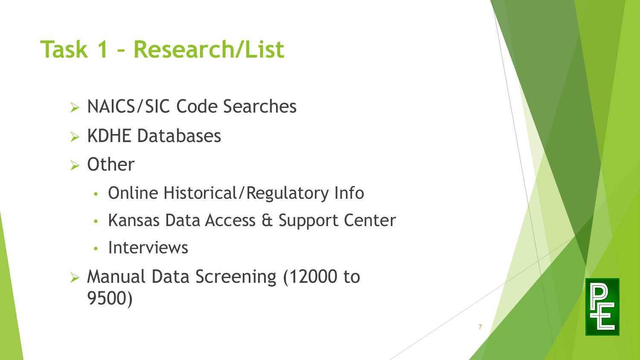### **Task 1 – Research/List**

- Ø NAICS/SIC Code Searches
- $\triangleright$  KDHE Databases
- $\triangleright$  Other
	- Online Historical/Regulatory Info
	- Kansas Data Access & Support Center
	- Interviews
- Ø Manual Data Screening (12000 to 9500)

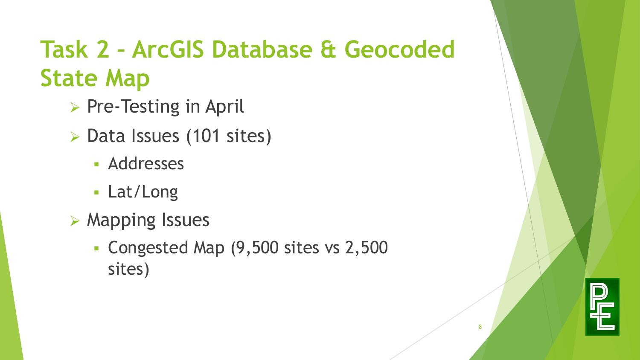# **Task 2 – ArcGIS Database & Geocoded State Map**

- $\triangleright$  Pre-Testing in April
- $\triangleright$  Data Issues (101 sites)
	- § Addresses
	- § Lat/Long
- $\triangleright$  Mapping Issues
	- § Congested Map (9,500 sites vs 2,500 sites)

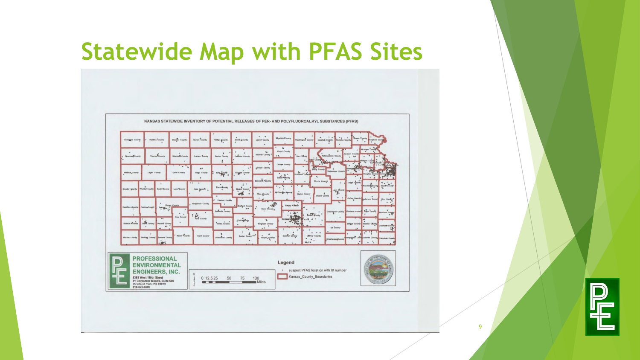#### **Statewide Map with PFAS Sites**



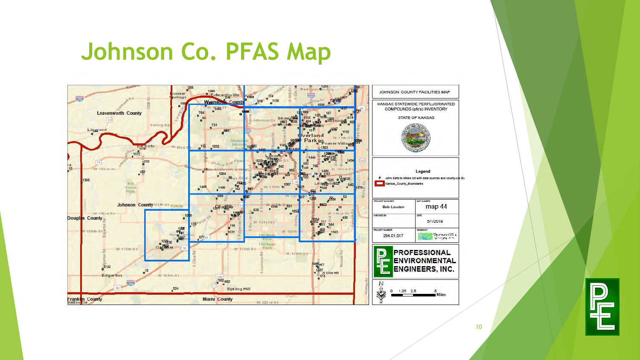#### **Johnson Co. PFAS Map**



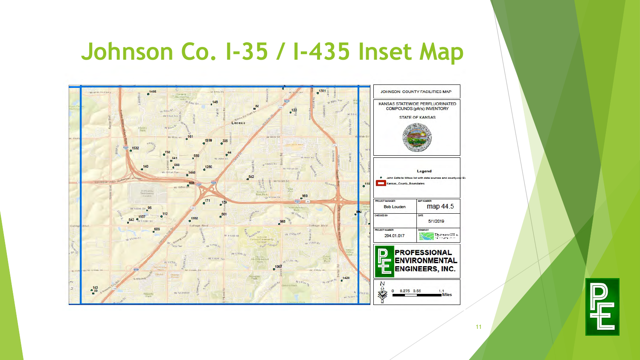#### **Johnson Co. I-35 / I-435 Inset Map**



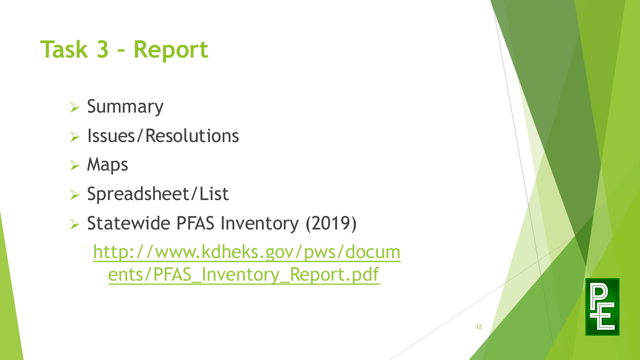# **Task 3 – Report**

- $\triangleright$  Summary
- $\triangleright$  Issues/Resolutions
- $\triangleright$  Maps
- Ø Spreadsheet/List
- Ø Statewide PFAS Inventory (2019) [http://www.kdheks.gov/pws/docum](http://www.kdheks.gov/pws/documents/PFAS_Inventory_Report.pdf) ents/PFAS\_Inventory\_Report.pdf

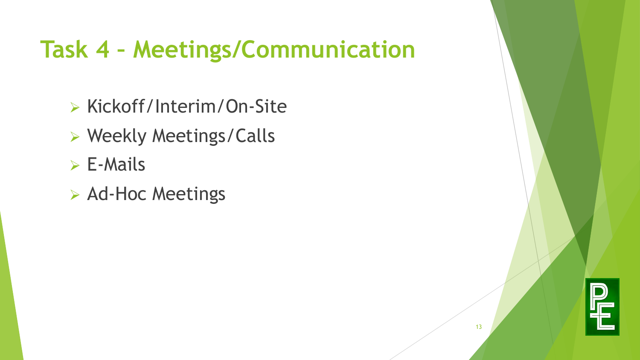## **Task 4 – Meetings/Communication**

- Ø Kickoff/Interim/On-Site
- Ø Weekly Meetings/Calls
- $\triangleright$  E-Mails
- $\triangleright$  Ad-Hoc Meetings

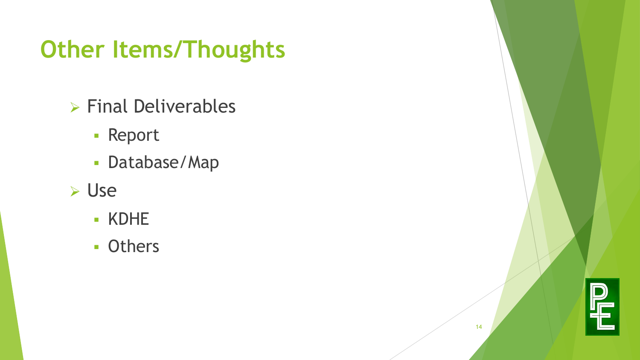## **Other Items/Thoughts**

- $\triangleright$  Final Deliverables
	- § Report
	- § Database/Map
- Ø Use
	- § KDHE
	- § Others